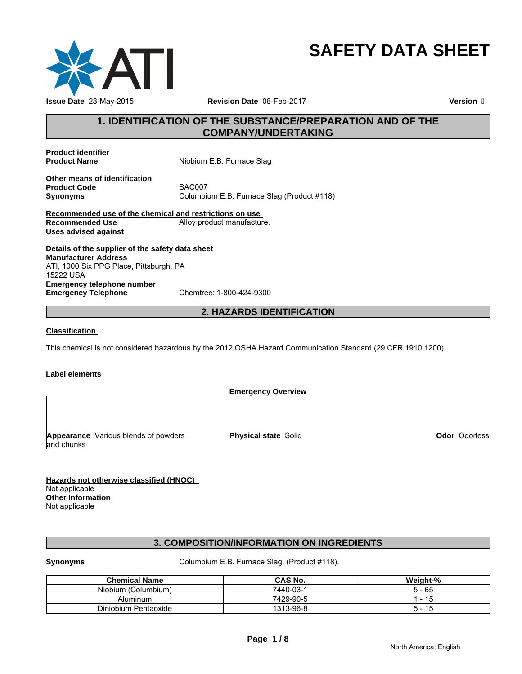

# **SAFETY DATA SHEET**

# **1. IDENTIFICATION OF THE SUBSTANCE/PREPARATION AND OF THE COMPANY/UNDERTAKING**

**Product identifier** 

**Niobium E.B. Furnace Slag** 

**Other means of identification Product Code**<br>Synonyms

**Synonyms** Columbium E.B. Furnace Slag (Product #118)

**Recommended use of the chemical and restrictions on use Recommended Use Commended Use Alloy product manufacture. Uses advised against**

**Details of the supplier of the safety data sheet Emergency telephone number**<br> **Emergency Telephone**<br>
Chemtrec: 1-800-424-9300 **Emergency Telephone Manufacturer Address** ATI, 1000 Six PPG Place, Pittsburgh, PA 15222 USA

# **2. HAZARDS IDENTIFICATION**

#### **Classification**

This chemical is not considered hazardous by the 2012 OSHA Hazard Communication Standard (29 CFR 1910.1200)

#### **Label elements**

**Emergency Overview Appearance** Various blends of powders and chunks **Physical state Solid Contract Contract Contract Contract Contract Contract Contract Contract Contract Contract Contract Contract Contract Contract Contract Contract Contract Contract Contract Contract Contract Contract Co** 

**Hazards not otherwise classified (HNOC)**  Not applicable **Other Information**  Not applicable

# **3. COMPOSITION/INFORMATION ON INGREDIENTS**

**Synonyms** Columbium E.B. Furnace Slag, (Product #118).

| <b>Chemical Name</b> | CAS No.   | Weight-% |
|----------------------|-----------|----------|
| Niobium (Columbium)  | 7440-03-1 | - 65     |
| Aluminum             | 7429-90-5 |          |
| Diniobium Pentaoxide | 1313-96-8 | ີ        |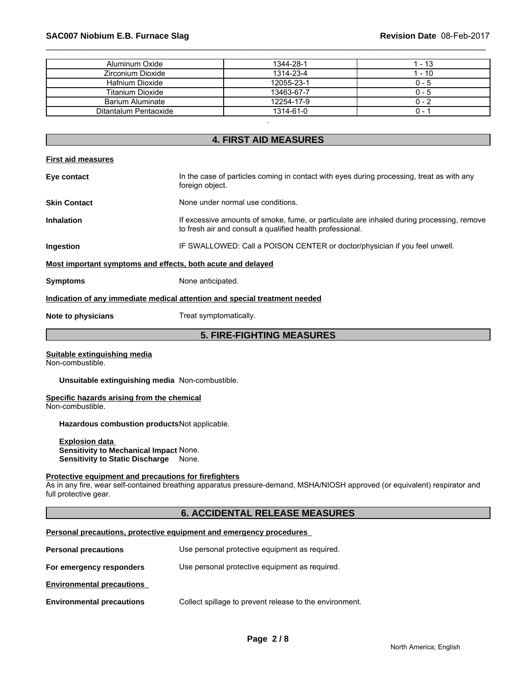| Aluminum Oxide          | 1344-28-1  | 1 - 13  |
|-------------------------|------------|---------|
| Zirconium Dioxide       | 1314-23-4  | 1 - 10  |
| Hafnium Dioxide         | 12055-23-1 | $0 - 5$ |
| <b>Titanium Dioxide</b> | 13463-67-7 | $0 - 5$ |
| Barium Aluminate        | 12254-17-9 | $0 - 2$ |
| Ditantalum Pentaoxide   | 1314-61-0  | ი -     |

# **4. FIRST AID MEASURES**

| <b>First aid measures</b>                                   |                                                                                                                                                        |
|-------------------------------------------------------------|--------------------------------------------------------------------------------------------------------------------------------------------------------|
| Eye contact                                                 | In the case of particles coming in contact with eyes during processing, treat as with any<br>foreign object.                                           |
| <b>Skin Contact</b>                                         | None under normal use conditions.                                                                                                                      |
| <b>Inhalation</b>                                           | If excessive amounts of smoke, fume, or particulate are inhaled during processing, remove<br>to fresh air and consult a qualified health professional. |
| Ingestion                                                   | IF SWALLOWED: Call a POISON CENTER or doctor/physician if you feel unwell.                                                                             |
| Most important symptoms and effects, both acute and delayed |                                                                                                                                                        |
| <b>Symptoms</b>                                             | None anticipated.                                                                                                                                      |
|                                                             | Indication of any immediate medical attention and special treatment needed                                                                             |
| Note to physicians                                          | Treat symptomatically.                                                                                                                                 |
|                                                             | <b>5. FIRE-FIGHTING MEASURES</b>                                                                                                                       |
| Suitable extinguishing media<br>Non-combustible.            |                                                                                                                                                        |

**Unsuitable extinguishing media** Non-combustible.

# **Specific hazards arising from the chemical**

Non-combustible.

**Hazardous combustion products**Not applicable.

**Explosion data Sensitivity to Mechanical Impact** None. **Sensitivity to Static Discharge** None.

#### **Protective equipment and precautions for firefighters**

As in any fire, wear self-contained breathing apparatus pressure-demand, MSHA/NIOSH approved (or equivalent) respirator and full protective gear.

# **6. ACCIDENTAL RELEASE MEASURES**

#### **Personal precautions, protective equipment and emergency procedures**

| <b>Personal precautions</b>      | Use personal protective equipment as required.          |
|----------------------------------|---------------------------------------------------------|
| For emergency responders         | Use personal protective equipment as required.          |
| <b>Environmental precautions</b> |                                                         |
| <b>Environmental precautions</b> | Collect spillage to prevent release to the environment. |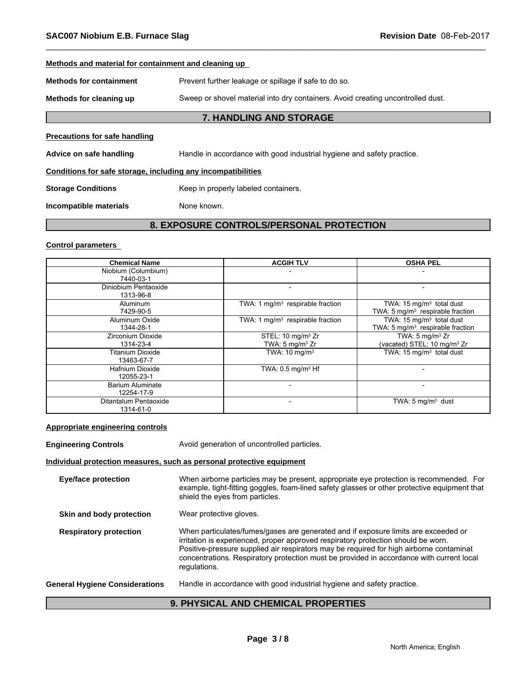#### **Methods and material for containment and cleaning up**

**Methods for containment** Prevent further leakage or spillage if safe to do so.

**Methods for cleaning up** Sweep or shovel material into dry containers. Avoid creating uncontrolled dust.

# **7. HANDLING AND STORAGE**

#### **Precautions for safe handling**

Advice on safe handling **Handle in accordance with good industrial hygiene and safety practice.** 

### **Conditions for safe storage, including any incompatibilities**

**Storage Conditions** Keep in properly labeled containers.

**Incompatible materials** None known.

# **8. EXPOSURE CONTROLS/PERSONAL PROTECTION**

#### **Control parameters**

| <b>Chemical Name</b>    | <b>ACGIH TLV</b>                             | <b>OSHA PEL</b>                              |
|-------------------------|----------------------------------------------|----------------------------------------------|
| Niobium (Columbium)     |                                              |                                              |
| 7440-03-1               |                                              |                                              |
| Diniobium Pentaoxide    |                                              |                                              |
| 1313-96-8               |                                              |                                              |
| Aluminum                | TWA: 1 mg/m <sup>3</sup> respirable fraction | TWA: 15 mg/m <sup>3</sup> total dust         |
| 7429-90-5               |                                              | TWA: 5 mg/m <sup>3</sup> respirable fraction |
| Aluminum Oxide          | TWA: 1 mg/m <sup>3</sup> respirable fraction | TWA: 15 mg/m <sup>3</sup> total dust         |
| 1344-28-1               |                                              | TWA: 5 mg/m <sup>3</sup> respirable fraction |
| Zirconium Dioxide       | STEL: 10 mg/m <sup>3</sup> Zr                | TWA: $5 \text{ mg/m}^3$ Zr                   |
| 1314-23-4               | TWA: $5 \text{ mg/m}^3$ Zr                   | (vacated) STEL: 10 mg/m <sup>3</sup> Zr      |
| <b>Titanium Dioxide</b> | TWA: 10 mg/m <sup>3</sup>                    | TWA: 15 mg/m <sup>3</sup> total dust         |
| 13463-67-7              |                                              |                                              |
| Hafnium Dioxide         | TWA: $0.5$ mg/m <sup>3</sup> Hf              |                                              |
| 12055-23-1              |                                              |                                              |
| Barium Aluminate        |                                              |                                              |
| 12254-17-9              |                                              |                                              |
| Ditantalum Pentaoxide   |                                              | TWA: 5 $mq/m3$ dust                          |
| 1314-61-0               |                                              |                                              |

#### **Appropriate engineering controls**

| <b>Engineering Controls</b>           | Avoid generation of uncontrolled particles.                                                                                                                                                                                                                                                                                                                                    |
|---------------------------------------|--------------------------------------------------------------------------------------------------------------------------------------------------------------------------------------------------------------------------------------------------------------------------------------------------------------------------------------------------------------------------------|
|                                       | Individual protection measures, such as personal protective equipment                                                                                                                                                                                                                                                                                                          |
| <b>Eye/face protection</b>            | When airborne particles may be present, appropriate eye protection is recommended. For<br>example, tight-fitting goggles, foam-lined safety glasses or other protective equipment that<br>shield the eyes from particles.                                                                                                                                                      |
| Skin and body protection              | Wear protective gloves.                                                                                                                                                                                                                                                                                                                                                        |
| <b>Respiratory protection</b>         | When particulates/fumes/gases are generated and if exposure limits are exceeded or<br>irritation is experienced, proper approved respiratory protection should be worn.<br>Positive-pressure supplied air respirators may be required for high airborne contaminat<br>concentrations. Respiratory protection must be provided in accordance with current local<br>requlations. |
| <b>General Hygiene Considerations</b> | Handle in accordance with good industrial hygiene and safety practice.                                                                                                                                                                                                                                                                                                         |

# **9. PHYSICAL AND CHEMICAL PROPERTIES**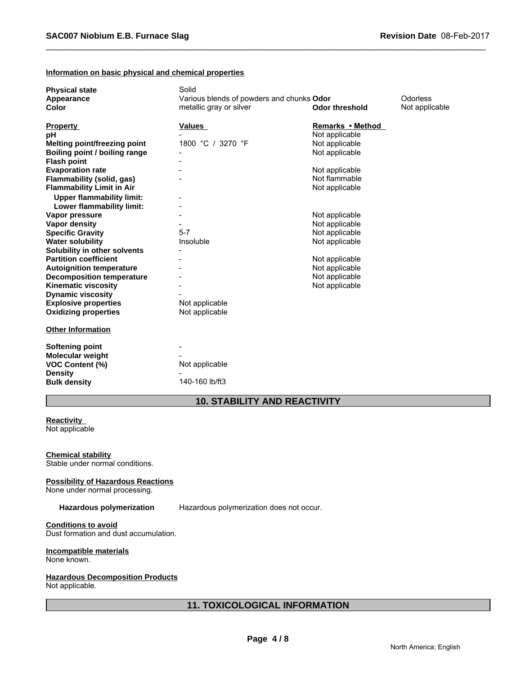#### **Information on basic physical and chemical properties**

| <b>Physical state</b>               | Solid                                     |                       |                |
|-------------------------------------|-------------------------------------------|-----------------------|----------------|
| Appearance                          | Various blends of powders and chunks Odor |                       | Odorless       |
| <b>Color</b>                        | metallic gray or silver                   | <b>Odor threshold</b> | Not applicable |
|                                     |                                           |                       |                |
| <b>Property</b>                     | <b>Values</b>                             | Remarks • Method      |                |
| рH                                  |                                           | Not applicable        |                |
| <b>Melting point/freezing point</b> | 1800 °C / 3270 °F                         | Not applicable        |                |
| Boiling point / boiling range       |                                           | Not applicable        |                |
| <b>Flash point</b>                  |                                           |                       |                |
| <b>Evaporation rate</b>             |                                           | Not applicable        |                |
| Flammability (solid, gas)           |                                           | Not flammable         |                |
| <b>Flammability Limit in Air</b>    |                                           | Not applicable        |                |
| <b>Upper flammability limit:</b>    |                                           |                       |                |
| Lower flammability limit:           |                                           |                       |                |
| Vapor pressure                      |                                           | Not applicable        |                |
| Vapor density                       |                                           | Not applicable        |                |
| <b>Specific Gravity</b>             | $5 - 7$                                   | Not applicable        |                |
| <b>Water solubility</b>             | Insoluble                                 | Not applicable        |                |
| Solubility in other solvents        |                                           |                       |                |
| <b>Partition coefficient</b>        |                                           | Not applicable        |                |
| <b>Autoignition temperature</b>     |                                           | Not applicable        |                |
| <b>Decomposition temperature</b>    |                                           | Not applicable        |                |
| <b>Kinematic viscosity</b>          |                                           | Not applicable        |                |
| <b>Dynamic viscosity</b>            |                                           |                       |                |
| <b>Explosive properties</b>         | Not applicable                            |                       |                |
| <b>Oxidizing properties</b>         | Not applicable                            |                       |                |
|                                     |                                           |                       |                |
| <b>Other Information</b>            |                                           |                       |                |
|                                     |                                           |                       |                |
| Softening point                     |                                           |                       |                |
| <b>Molecular weight</b>             |                                           |                       |                |
| <b>VOC Content (%)</b>              | Not applicable                            |                       |                |
| <b>Density</b>                      |                                           |                       |                |
| <b>Bulk density</b>                 | 140-160 lb/ft3                            |                       |                |
|                                     |                                           |                       |                |

# **10. STABILITY AND REACTIVITY**

#### **Reactivity**  Not applicable

#### **Chemical stability**

Stable under normal conditions.

#### **Possibility of Hazardous Reactions**

None under normal processing.

**Hazardous polymerization** Hazardous polymerization does not occur.

# **Conditions to avoid**

Dust formation and dust accumulation.

#### **Incompatible materials**

None known.

### **Hazardous Decomposition Products**

Not applicable.

# **11. TOXICOLOGICAL INFORMATION**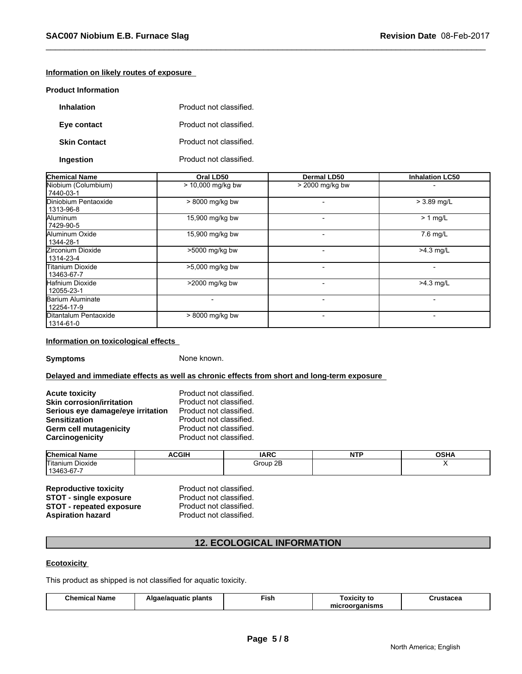# **Information on likely routes of exposure**

#### **Product Information**

| <b>Inhalation</b>   | Product not classified. |
|---------------------|-------------------------|
| Eye contact         | Product not classified. |
| <b>Skin Contact</b> | Product not classified. |
| Ingestion           | Product not classified. |

| <b>Chemical Name</b>                 | Oral LD50           | <b>Dermal LD50</b> | <b>Inhalation LC50</b> |
|--------------------------------------|---------------------|--------------------|------------------------|
| Niobium (Columbium)<br>7440-03-1     | $> 10,000$ mg/kg bw | > 2000 mg/kg bw    |                        |
| Diniobium Pentaoxide<br>  1313-96-8  | > 8000 mg/kg bw     |                    | $> 3.89$ mg/L          |
| Aluminum<br>17429-90-5               | 15,900 mg/kg bw     |                    | $> 1$ mg/L             |
| Aluminum Oxide<br>  1344-28-1        | 15,900 mg/kg bw     |                    | $7.6$ mg/L             |
| Zirconium Dioxide<br>1314-23-4       | >5000 mg/kg bw      |                    | $>4.3$ mg/L            |
| lTitanium Dioxide<br>13463-67-7      | >5,000 mg/kg bw     |                    |                        |
| Hafnium Dioxide<br>12055-23-1        | >2000 mg/kg bw      |                    | $>4.3$ mg/L            |
| Barium Aluminate<br>12254-17-9       |                     |                    |                        |
| Ditantalum Pentaoxide<br>  1314-61-0 | > 8000 mg/kg bw     |                    |                        |

#### **Information on toxicological effects**

**Symptoms** None known.

#### **Delayed and immediate effects as well as chronic effects from short and long-term exposure**

| <b>Acute toxicity</b>             | Product not classified. |
|-----------------------------------|-------------------------|
| <b>Skin corrosion/irritation</b>  | Product not classified. |
| Serious eye damage/eye irritation | Product not classified. |
| <b>Sensitization</b>              | Product not classified. |
| Germ cell mutagenicity            | Product not classified. |
| Carcinogenicity                   | Product not classified. |

| Chemical<br>l Name<br>. ан       | .<br>:GII<br>Δι. | <b>IARC</b> | ᄓ<br>. | ៱៰៶៲៱<br>uəı<br>п, |
|----------------------------------|------------------|-------------|--------|--------------------|
| Titanium.<br>$\sim$ .<br>Dioxide |                  | 2E<br>Group |        |                    |
| $\sim$<br>13463<br>3-D/-         |                  |             |        |                    |

**Reproductive toxicity Reproductive Product not classified.**<br> **STOT - single exposure** Product not classified. **STOT - single exposure** Product not classified.<br>**STOT - repeated exposure** Product not classified. **STOT - repeated exposure** Product not classified.<br> **Aspiration hazard** Product not classified. **Aspiration hazard** 

# **12. ECOLOGICAL INFORMATION**

## **Ecotoxicity**

This product as shipped is not classified for aquatic toxicity.

| - -<br>Chemical<br>™ Name | ∍plants<br>Algae/aguatic | Fish | oxicity to<br>πc  | THETSCAS<br>uruslacea |
|---------------------------|--------------------------|------|-------------------|-----------------------|
|                           |                          |      | oorganisms<br>mıc |                       |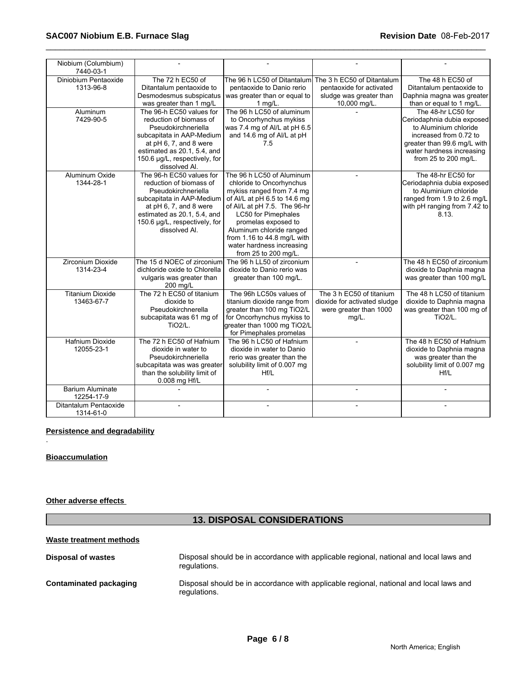| Niobium (Columbium)<br>7440-03-1 |                               |                              |                              |                              |
|----------------------------------|-------------------------------|------------------------------|------------------------------|------------------------------|
| Diniobium Pentaoxide             | The 72 h EC50 of              | The 96 h LC50 of Ditantalum  | The 3 h EC50 of Ditantalum   | The 48 h EC50 of             |
| 1313-96-8                        | Ditantalum pentaoxide to      | pentaoxide to Danio rerio    | pentaoxide for activated     | Ditantalum pentaoxide to     |
|                                  | Desmodesmus subspicatus       | was greater than or equal to | sludge was greater than      | Daphnia magna was greater    |
|                                  | was greater than 1 mg/L       | 1 mg/L.                      | 10,000 mg/L.                 | than or equal to 1 mg/L.     |
| Aluminum                         | The 96-h EC50 values for      | The 96 h LC50 of aluminum    |                              | The 48-hr LC50 for           |
| 7429-90-5                        | reduction of biomass of       | to Oncorhynchus mykiss       |                              | Ceriodaphnia dubia exposed   |
|                                  | Pseudokirchneriella           | was 7.4 mg of Al/L at pH 6.5 |                              | to Aluminium chloride        |
|                                  | subcapitata in AAP-Medium     | and 14.6 mg of Al/L at pH    |                              | increased from 0.72 to       |
|                                  | at pH 6, 7, and 8 were        | 7.5                          |                              | greater than 99.6 mg/L with  |
|                                  | estimated as 20.1, 5.4, and   |                              |                              | water hardness increasing    |
|                                  | 150.6 µg/L, respectively, for |                              |                              | from 25 to 200 mg/L.         |
|                                  | dissolved Al.                 |                              |                              |                              |
| Aluminum Oxide                   | The 96-h EC50 values for      | The 96 h LC50 of Aluminum    |                              | The 48-hr EC50 for           |
| 1344-28-1                        | reduction of biomass of       | chloride to Oncorhynchus     |                              | Ceriodaphnia dubia exposed   |
|                                  | Pseudokirchneriella           | mykiss ranged from 7.4 mg    |                              | to Aluminium chloride        |
|                                  | subcapitata in AAP-Medium     | of Al/L at pH 6.5 to 14.6 mg |                              | ranged from 1.9 to 2.6 mg/L  |
|                                  | at pH 6, 7, and 8 were        | of Al/L at pH 7.5. The 96-hr |                              | with pH ranging from 7.42 to |
|                                  | estimated as 20.1, 5.4, and   | <b>LC50 for Pimephales</b>   |                              | 8.13.                        |
|                                  | 150.6 µg/L, respectively, for | promelas exposed to          |                              |                              |
|                                  | dissolved Al.                 | Aluminum chloride ranged     |                              |                              |
|                                  |                               | from 1.16 to 44.8 mg/L with  |                              |                              |
|                                  |                               | water hardness increasing    |                              |                              |
|                                  |                               | from 25 to 200 mg/L.         |                              |                              |
| Zirconium Dioxide                | The 15 d NOEC of zirconium    | The 96 h LL50 of zirconium   |                              | The 48 h EC50 of zirconium   |
| 1314-23-4                        | dichloride oxide to Chlorella | dioxide to Danio rerio was   |                              | dioxide to Daphnia magna     |
|                                  | vulgaris was greater than     | greater than 100 mg/L.       |                              | was greater than 100 mg/L    |
|                                  | 200 mg/L                      |                              |                              |                              |
| <b>Titanium Dioxide</b>          | The 72 h EC50 of titanium     | The 96h LC50s values of      | The 3 h EC50 of titanium     | The 48 h LC50 of titanium    |
| 13463-67-7                       | dioxide to                    | titanium dioxide range from  | dioxide for activated sludge | dioxide to Daphnia magna     |
|                                  | Pseudokirchnerella            | greater than 100 mg TiO2/L   | were greater than 1000       | was greater than 100 mg of   |
|                                  | subcapitata was 61 mg of      | for Oncorhynchus mykiss to   | $mg/L$ .                     | <b>TiO2/L.</b>               |
|                                  | <b>TiO2/L.</b>                | greater than 1000 mg TiO2/L  |                              |                              |
|                                  |                               | for Pimephales promelas      |                              |                              |
| Hafnium Dioxide                  | The 72 h EC50 of Hafnium      | The 96 h LC50 of Hafnium     |                              | The 48 h EC50 of Hafnium     |
| 12055-23-1                       | dioxide in water to           | dioxide in water to Danio    |                              | dioxide to Daphnia magna     |
|                                  | Pseudokirchneriella           | rerio was greater than the   |                              | was greater than the         |
|                                  | subcapitata was was greater   | solubility limit of 0.007 mg |                              | solubility limit of 0.007 mg |
|                                  | than the solubility limit of  | Hf/L                         |                              | Hf/L                         |
|                                  | 0.008 mg Hf/L                 |                              |                              |                              |
| <b>Barium Aluminate</b>          |                               |                              |                              |                              |
| 12254-17-9                       |                               |                              |                              |                              |
| Ditantalum Pentaoxide            |                               |                              |                              |                              |
| 1314-61-0                        |                               |                              |                              |                              |

# **Persistence and degradability**

### **Bioaccumulation**

.

### **Other adverse effects**

# **13. DISPOSAL CONSIDERATIONS**

# **Waste treatment methods Disposal of wastes** Disposal should be in accordance with applicable regional, national and local laws and regulations. **Contaminated packaging** Disposal should be in accordance with applicable regional, national and local laws and regulations.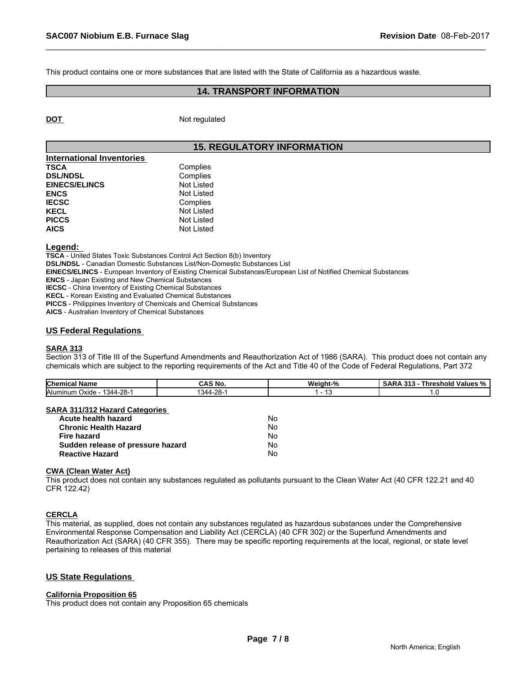This product contains one or more substances that are listed with the State of California as a hazardous waste.

# **14. TRANSPORT INFORMATION**

**DOT** Not regulated

# **15. REGULATORY INFORMATION**

| International Inventories |            |
|---------------------------|------------|
| <b>TSCA</b>               | Complies   |
| <b>DSL/NDSL</b>           | Complies   |
| <b>EINECS/ELINCS</b>      | Not Listed |
| <b>ENCS</b>               | Not Listed |
| <b>IECSC</b>              | Complies   |
| <b>KECL</b>               | Not Listed |
| <b>PICCS</b>              | Not Listed |
| <b>AICS</b>               | Not Listed |

#### **Legend:**

**TSCA** - United States Toxic Substances Control Act Section 8(b) Inventory

**DSL/NDSL** - Canadian Domestic Substances List/Non-Domestic Substances List

**EINECS/ELINCS** - European Inventory of Existing Chemical Substances/European List of Notified Chemical Substances

**ENCS** - Japan Existing and New Chemical Substances

**IECSC** - China Inventory of Existing Chemical Substances

**KECL** - Korean Existing and Evaluated Chemical Substances

**PICCS** - Philippines Inventory of Chemicals and Chemical Substances

**AICS** - Australian Inventory of Chemical Substances

#### **US Federal Regulations**

#### **SARA 313**

Section 313 of Title III of the Superfund Amendments and Reauthorization Act of 1986 (SARA). This product does not contain any chemicals which are subject to the reporting requirements of the Act and Title 40 of the Code of Federal Regulations, Part 372

| <b>Chemical</b><br>name                 | CAS No.           | …eiɑht-" | Values<br>⊺hreshold<br>. |
|-----------------------------------------|-------------------|----------|--------------------------|
| Aluminum<br>ററ<br>344ء<br>Oxide<br>-20- | റെ<br>344،<br>,,, | ٠.       |                          |

#### **SARA 311/312 Hazard Categories**

| Acute health hazard               | Nο |  |
|-----------------------------------|----|--|
| Chronic Health Hazard             | N٥ |  |
| Fire hazard                       | N٥ |  |
| Sudden release of pressure hazard | N٥ |  |
| Reactive Hazard                   | N٥ |  |

#### **CWA (Clean Water Act)**

This product does not contain any substances regulated as pollutants pursuant to the Clean Water Act (40 CFR 122.21 and 40 CFR 122.42)

#### **CERCLA**

This material, as supplied, does not contain any substances regulated as hazardous substances under the Comprehensive Environmental Response Compensation and Liability Act (CERCLA) (40 CFR 302) or the Superfund Amendments and Reauthorization Act (SARA) (40 CFR 355). There may be specific reporting requirements at the local, regional, or state level pertaining to releases of this material

#### **US State Regulations**

#### **California Proposition 65**

This product does not contain any Proposition 65 chemicals